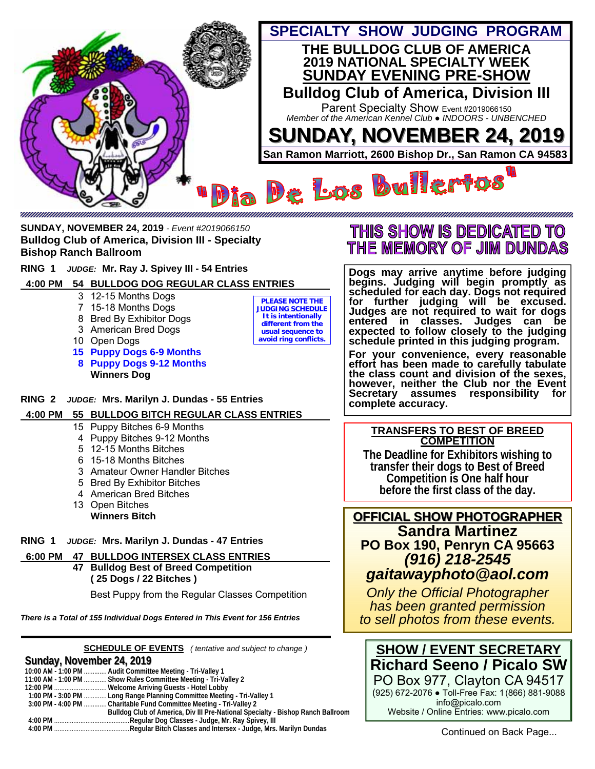

**SUNDAY, NOVEMBER 24, 2019** *- Event #2019066150* **Bulldog Club of America, Division III - Specialty Bishop Ranch Ballroom** 

**RING 1** *JUDGE:* **Mr. Ray J. Spivey III - 54 Entries** 

## **4:00 PM 54 BULLDOG DOG REGULAR CLASS ENTRIES \_**

- 3 12-15 Months Dogs
- 7 15-18 Months Dogs
- 8 Bred By Exhibitor Dogs
- 3 American Bred Dogs
- 10 Open Dogs
- **15 Puppy Dogs 6-9 Months 8 Puppy Dogs 9-12 Months Winners Dog**

**PLEASE NOTE THE JUDGING SCHEDULE It is intentionally different from the usual sequence to avoid ring conflicts.** 

## THIS SHOW IS DEDICATED TO THE MEMORY OF JIM DUNDAS

**Dogs may arrive anytime before judging begins. Judging will begin promptly as scheduled for each day. Dogs not required for further judging will be excused. Judges are not required to wait for dogs entered in classes. Judges can be expected to follow closely to the judging schedule printed in this judging program.** 

**For your convenience, every reasonable effort has been made to carefully tabulate the class count and division of the sexes, however, neither the Club nor the Event Secretary assumes responsibility for complete accuracy.** 

### **TRANSFERS TO BEST OF BREED COMPETITION**

**The Deadline for Exhibitors wishing to transfer their dogs to Best of Breed Competition is One half hour before the first class of the day.** 

## **OFFICIAL SHOW PHOTOGRAPHER OFFICIAL SHOW PHOTOGRAPHER Sandra Martinez PO Box 190, Penryn CA 95663**  *(916) 218-2545 gaitawayphoto@aol.com*

*Only the Official Photographer has been granted permission to sell photos from these events.* 



Website / Online Entries: www.picalo.com

**RING 2** *JUDGE:* **Mrs. Marilyn J. Dundas - 55 Entries** 

 **4:00 PM 55 BULLDOG BITCH REGULAR CLASS ENTRIES \_**

- 15 Puppy Bitches 6-9 Months
- 4 Puppy Bitches 9-12 Months
- 5 12-15 Months Bitches
- 6 15-18 Months Bitches
- 3 Amateur Owner Handler Bitches
- 5 Bred By Exhibitor Bitches
- 4 American Bred Bitches
- 13 Open Bitches  **Winners Bitch**

**RING 1** *JUDGE:* **Mrs. Marilyn J. Dundas - 47 Entries**

- **6:00 PM 47 BULLDOG INTERSEX CLASS ENTRIES \_**
	- **47 Bulldog Best of Breed Competition ( 25 Dogs / 22 Bitches )**

Best Puppy from the Regular Classes Competition

*There is a Total of 155 Individual Dogs Entered in This Event for 156 Entries*

**SCHEDULE OF EVENTS** *( tentative and subject to change )*

## **Sunday, November 24, 2019 November 24, 2019**

|  | 10:00 AM - 1:00 PM  Audit Committee Meeting - Tri-Valley 1                      |
|--|---------------------------------------------------------------------------------|
|  | 11:00 AM - 1:00 PM  Show Rules Committee Meeting - Tri-Valley 2                 |
|  |                                                                                 |
|  | 1:00 PM - 3:00 PM  Long Range Planning Committee Meeting - Tri-Valley 1         |
|  | 3:00 PM - 4:00 PM  Charitable Fund Committee Meeting - Tri-Valley 2             |
|  | Bulldog Club of America, Div III Pre-National Specialty - Bishop Ranch Ballroom |
|  |                                                                                 |
|  |                                                                                 |
|  |                                                                                 |